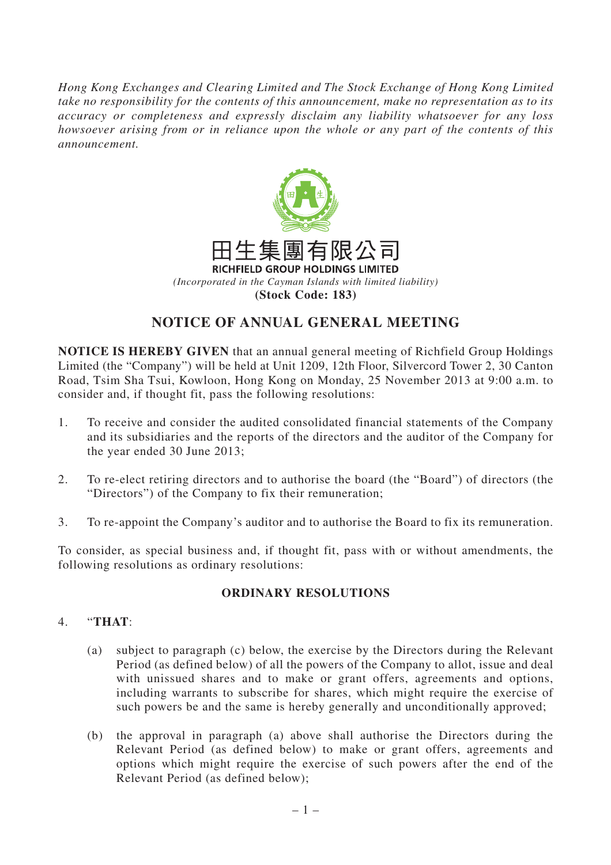*Hong Kong Exchanges and Clearing Limited and The Stock Exchange of Hong Kong Limited take no responsibility for the contents of this announcement, make no representation as to its accuracy or completeness and expressly disclaim any liability whatsoever for any loss howsoever arising from or in reliance upon the whole or any part of the contents of this announcement.*



## **NOTICE OF ANNUAL GENERAL MEETING**

**NOTICE IS HEREBY GIVEN** that an annual general meeting of Richfield Group Holdings Limited (the "Company") will be held at Unit 1209, 12th Floor, Silvercord Tower 2, 30 Canton Road, Tsim Sha Tsui, Kowloon, Hong Kong on Monday, 25 November 2013 at 9:00 a.m. to consider and, if thought fit, pass the following resolutions:

- 1. To receive and consider the audited consolidated financial statements of the Company and its subsidiaries and the reports of the directors and the auditor of the Company for the year ended 30 June 2013;
- 2. To re-elect retiring directors and to authorise the board (the "Board") of directors (the "Directors") of the Company to fix their remuneration;
- 3. To re-appoint the Company's auditor and to authorise the Board to fix its remuneration.

To consider, as special business and, if thought fit, pass with or without amendments, the following resolutions as ordinary resolutions:

## **ORDINARY RESOLUTIONS**

## 4. "**THAT**:

- (a) subject to paragraph (c) below, the exercise by the Directors during the Relevant Period (as defined below) of all the powers of the Company to allot, issue and deal with unissued shares and to make or grant offers, agreements and options, including warrants to subscribe for shares, which might require the exercise of such powers be and the same is hereby generally and unconditionally approved;
- (b) the approval in paragraph (a) above shall authorise the Directors during the Relevant Period (as defined below) to make or grant offers, agreements and options which might require the exercise of such powers after the end of the Relevant Period (as defined below);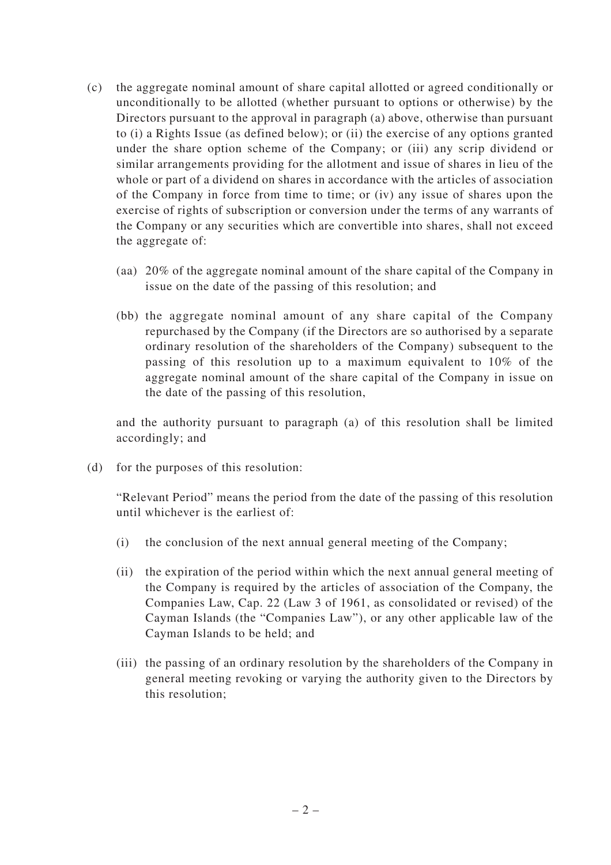- (c) the aggregate nominal amount of share capital allotted or agreed conditionally or unconditionally to be allotted (whether pursuant to options or otherwise) by the Directors pursuant to the approval in paragraph (a) above, otherwise than pursuant to (i) a Rights Issue (as defined below); or (ii) the exercise of any options granted under the share option scheme of the Company; or (iii) any scrip dividend or similar arrangements providing for the allotment and issue of shares in lieu of the whole or part of a dividend on shares in accordance with the articles of association of the Company in force from time to time; or (iv) any issue of shares upon the exercise of rights of subscription or conversion under the terms of any warrants of the Company or any securities which are convertible into shares, shall not exceed the aggregate of:
	- (aa) 20% of the aggregate nominal amount of the share capital of the Company in issue on the date of the passing of this resolution; and
	- (bb) the aggregate nominal amount of any share capital of the Company repurchased by the Company (if the Directors are so authorised by a separate ordinary resolution of the shareholders of the Company) subsequent to the passing of this resolution up to a maximum equivalent to 10% of the aggregate nominal amount of the share capital of the Company in issue on the date of the passing of this resolution,

and the authority pursuant to paragraph (a) of this resolution shall be limited accordingly; and

(d) for the purposes of this resolution:

"Relevant Period" means the period from the date of the passing of this resolution until whichever is the earliest of:

- (i) the conclusion of the next annual general meeting of the Company;
- (ii) the expiration of the period within which the next annual general meeting of the Company is required by the articles of association of the Company, the Companies Law, Cap. 22 (Law 3 of 1961, as consolidated or revised) of the Cayman Islands (the "Companies Law"), or any other applicable law of the Cayman Islands to be held; and
- (iii) the passing of an ordinary resolution by the shareholders of the Company in general meeting revoking or varying the authority given to the Directors by this resolution;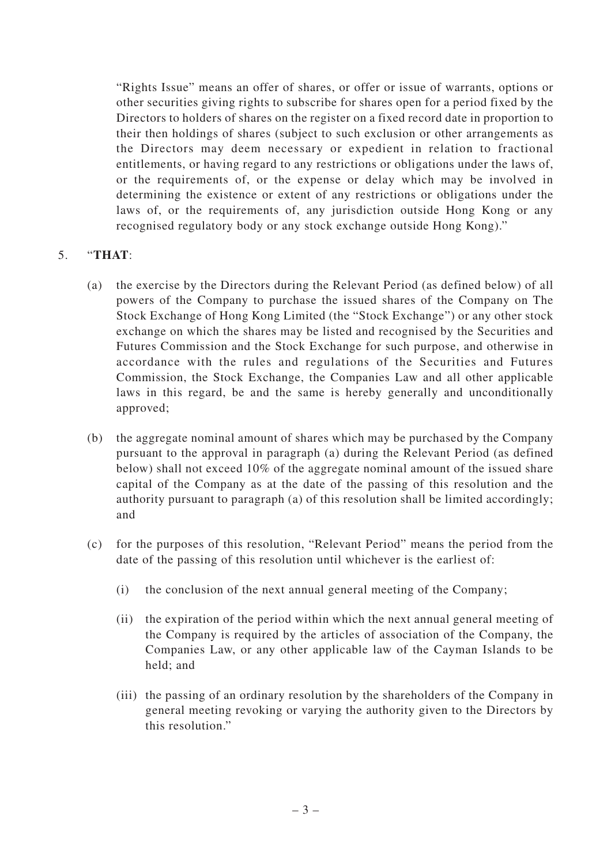"Rights Issue" means an offer of shares, or offer or issue of warrants, options or other securities giving rights to subscribe for shares open for a period fixed by the Directors to holders of shares on the register on a fixed record date in proportion to their then holdings of shares (subject to such exclusion or other arrangements as the Directors may deem necessary or expedient in relation to fractional entitlements, or having regard to any restrictions or obligations under the laws of, or the requirements of, or the expense or delay which may be involved in determining the existence or extent of any restrictions or obligations under the laws of, or the requirements of, any jurisdiction outside Hong Kong or any recognised regulatory body or any stock exchange outside Hong Kong)."

## 5. "**THAT**:

- (a) the exercise by the Directors during the Relevant Period (as defined below) of all powers of the Company to purchase the issued shares of the Company on The Stock Exchange of Hong Kong Limited (the "Stock Exchange") or any other stock exchange on which the shares may be listed and recognised by the Securities and Futures Commission and the Stock Exchange for such purpose, and otherwise in accordance with the rules and regulations of the Securities and Futures Commission, the Stock Exchange, the Companies Law and all other applicable laws in this regard, be and the same is hereby generally and unconditionally approved;
- (b) the aggregate nominal amount of shares which may be purchased by the Company pursuant to the approval in paragraph (a) during the Relevant Period (as defined below) shall not exceed 10% of the aggregate nominal amount of the issued share capital of the Company as at the date of the passing of this resolution and the authority pursuant to paragraph (a) of this resolution shall be limited accordingly; and
- (c) for the purposes of this resolution, "Relevant Period" means the period from the date of the passing of this resolution until whichever is the earliest of:
	- (i) the conclusion of the next annual general meeting of the Company;
	- (ii) the expiration of the period within which the next annual general meeting of the Company is required by the articles of association of the Company, the Companies Law, or any other applicable law of the Cayman Islands to be held; and
	- (iii) the passing of an ordinary resolution by the shareholders of the Company in general meeting revoking or varying the authority given to the Directors by this resolution."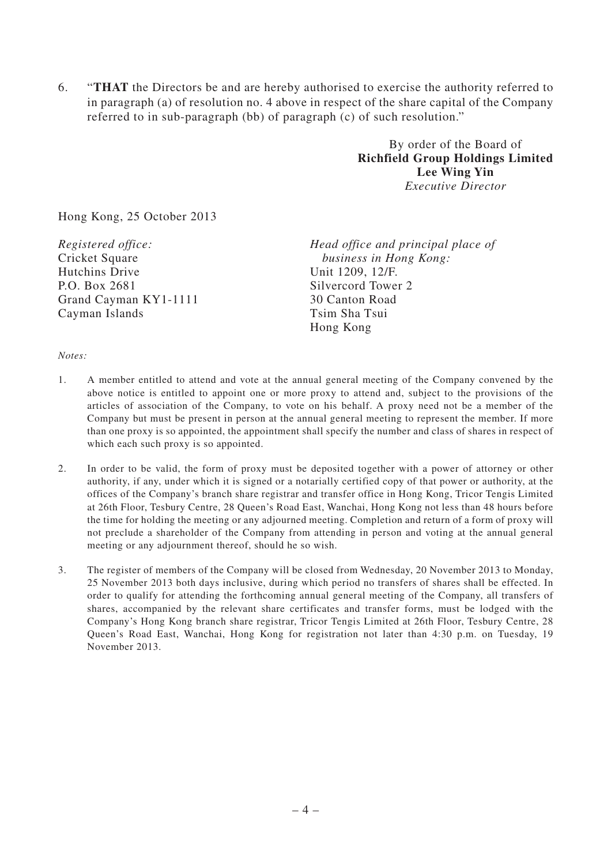6. "**THAT** the Directors be and are hereby authorised to exercise the authority referred to in paragraph (a) of resolution no. 4 above in respect of the share capital of the Company referred to in sub-paragraph (bb) of paragraph (c) of such resolution."

> By order of the Board of **Richfield Group Holdings Limited Lee Wing Yin** *Executive Director*

Hong Kong, 25 October 2013

*Registered office:* Cricket Square Hutchins Drive P.O. Box 2681 Grand Cayman KY1-1111 Cayman Islands

*Head office and principal place of business in Hong Kong:* Unit 1209, 12/F. Silvercord Tower 2 30 Canton Road Tsim Sha Tsui Hong Kong

*Notes:*

- 1. A member entitled to attend and vote at the annual general meeting of the Company convened by the above notice is entitled to appoint one or more proxy to attend and, subject to the provisions of the articles of association of the Company, to vote on his behalf. A proxy need not be a member of the Company but must be present in person at the annual general meeting to represent the member. If more than one proxy is so appointed, the appointment shall specify the number and class of shares in respect of which each such proxy is so appointed.
- 2. In order to be valid, the form of proxy must be deposited together with a power of attorney or other authority, if any, under which it is signed or a notarially certified copy of that power or authority, at the offices of the Company's branch share registrar and transfer office in Hong Kong, Tricor Tengis Limited at 26th Floor, Tesbury Centre, 28 Queen's Road East, Wanchai, Hong Kong not less than 48 hours before the time for holding the meeting or any adjourned meeting. Completion and return of a form of proxy will not preclude a shareholder of the Company from attending in person and voting at the annual general meeting or any adjournment thereof, should he so wish.
- 3. The register of members of the Company will be closed from Wednesday, 20 November 2013 to Monday, 25 November 2013 both days inclusive, during which period no transfers of shares shall be effected. In order to qualify for attending the forthcoming annual general meeting of the Company, all transfers of shares, accompanied by the relevant share certificates and transfer forms, must be lodged with the Company's Hong Kong branch share registrar, Tricor Tengis Limited at 26th Floor, Tesbury Centre, 28 Queen's Road East, Wanchai, Hong Kong for registration not later than 4:30 p.m. on Tuesday, 19 November 2013.